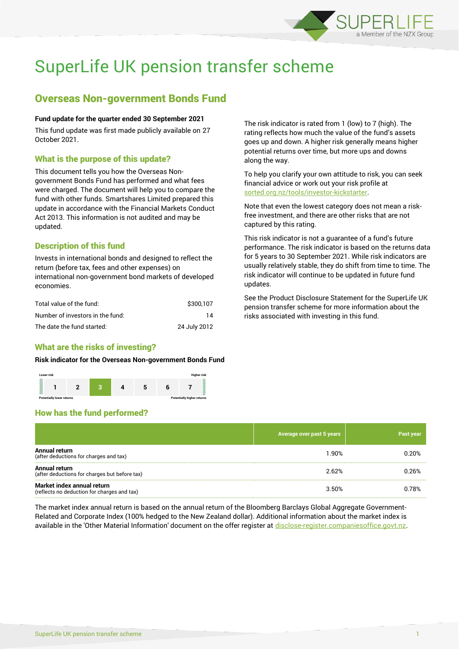

# SuperLife UK pension transfer scheme

# Overseas Non-government Bonds Fund

#### **Fund update for the quarter ended 30 September 2021**

This fund update was first made publicly available on 27 October 2021.

### What is the purpose of this update?

This document tells you how the Overseas Nongovernment Bonds Fund has performed and what fees were charged. The document will help you to compare the fund with other funds. Smartshares Limited prepared this update in accordance with the Financial Markets Conduct Act 2013. This information is not audited and may be updated.

# Description of this fund

Invests in international bonds and designed to reflect the return (before tax, fees and other expenses) on international non-government bond markets of developed economies.

| Total value of the fund:         | \$300.107    |
|----------------------------------|--------------|
| Number of investors in the fund: | 14           |
| The date the fund started:       | 24 July 2012 |

# What are the risks of investing?

#### **Risk indicator for the Overseas Non-government Bonds Fund**



# How has the fund performed?

|                                                                           | Average over past 5 years | Past year |
|---------------------------------------------------------------------------|---------------------------|-----------|
| Annual return<br>(after deductions for charges and tax)                   | 1.90%                     | 0.20%     |
| Annual return<br>(after deductions for charges but before tax)            | 2.62%                     | 0.26%     |
| Market index annual return<br>(reflects no deduction for charges and tax) | 3.50%                     | 0.78%     |

The market index annual return is based on the annual return of the Bloomberg Barclays Global Aggregate Government-Related and Corporate Index (100% hedged to the New Zealand dollar). Additional information about the market index is available in the 'Other Material Information' document on the offer register at [disclose-register.companiesoffice.govt.nz.](http://www.disclose-register.companiesoffice.govt.nz/)

The risk indicator is rated from 1 (low) to 7 (high). The rating reflects how much the value of the fund's assets goes up and down. A higher risk generally means higher potential returns over time, but more ups and downs along the way.

To help you clarify your own attitude to risk, you can seek financial advice or work out your risk profile at [sorted.org.nz/tools/investor-kickstarter.](http://www.sorted.org.nz/tools/investor-kickstarter)

Note that even the lowest category does not mean a riskfree investment, and there are other risks that are not captured by this rating.

This risk indicator is not a guarantee of a fund's future performance. The risk indicator is based on the returns data for 5 years to 30 September 2021. While risk indicators are usually relatively stable, they do shift from time to time. The risk indicator will continue to be updated in future fund updates.

See the Product Disclosure Statement for the SuperLife UK pension transfer scheme for more information about the risks associated with investing in this fund.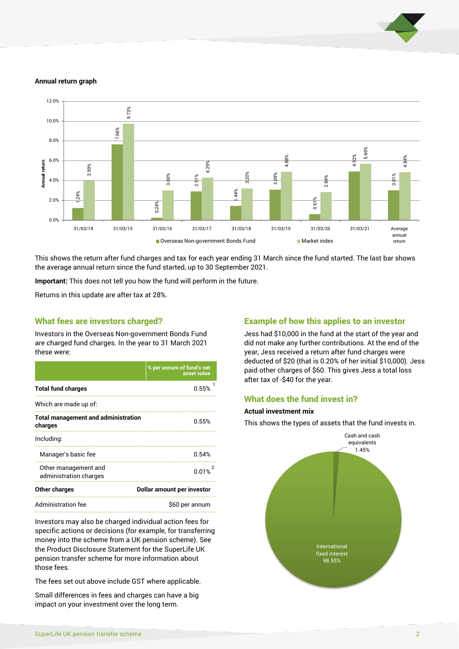

#### **Annual return graph**



This shows the return after fund charges and tax for each year ending 31 March since the fund started. The last bar shows the average annual return since the fund started, up to 30 September 2021.

**Important:** This does not tell you how the fund will perform in the future.

Returns in this update are after tax at 28%.

#### What fees are investors charged?

Investors in the Overseas Non-government Bonds Fund are charged fund charges. In the year to 31 March 2021 these were:

|                                                       | % per annum of fund's net<br>asset value |  |
|-------------------------------------------------------|------------------------------------------|--|
| <b>Total fund charges</b>                             | 0.55%                                    |  |
| Which are made up of:                                 |                                          |  |
| <b>Total management and administration</b><br>charges | 0.55%                                    |  |
| Including:                                            |                                          |  |
| Manager's basic fee                                   | 0.54%                                    |  |
| Other management and<br>administration charges        | 0.01%                                    |  |
| Other charges                                         | Dollar amount per investor               |  |
| Administration fee                                    | \$60 per annum                           |  |

Investors may also be charged individual action fees for specific actions or decisions (for example, for transferring money into the scheme from a UK pension scheme). See the Product Disclosure Statement for the SuperLife UK pension transfer scheme for more information about those fees.

The fees set out above include GST where applicable.

Small differences in fees and charges can have a big impact on your investment over the long term.

### Example of how this applies to an investor

Jess had \$10,000 in the fund at the start of the year and did not make any further contributions. At the end of the year, Jess received a return after fund charges were deducted of \$20 (that is 0.20% of her initial \$10,000). Jess paid other charges of \$60. This gives Jess a total loss after tax of -\$40 for the year.

### What does the fund invest in?

#### **Actual investment mix**

This shows the types of assets that the fund invests in.

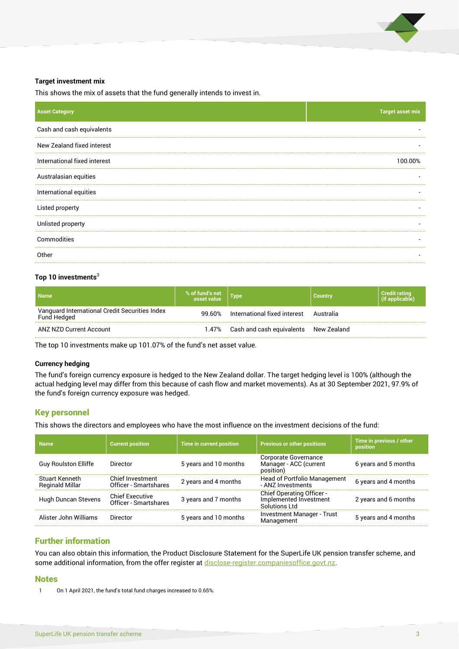

#### **Target investment mix**

This shows the mix of assets that the fund generally intends to invest in.

| <b>Asset Category</b>        | <b>Target asset mix</b> |
|------------------------------|-------------------------|
| Cash and cash equivalents    |                         |
| New Zealand fixed interest   |                         |
| International fixed interest | 100.00%                 |
| Australasian equities        |                         |
| International equities       |                         |
| Listed property              |                         |
| Unlisted property            |                         |
| Commodities                  |                         |
| Other                        |                         |

#### **Top 10 investments**<sup>3</sup>

| <b>Name</b>                                                   | % of fund's net<br>asset value |                                             | <b>Country</b> | <b>Credit rating</b><br>(if applicable) |
|---------------------------------------------------------------|--------------------------------|---------------------------------------------|----------------|-----------------------------------------|
| Vanguard International Credit Securities Index<br>Fund Hedged | 99.60%                         | International fixed interest Australia      |                |                                         |
| ANZ NZD Current Account                                       |                                | 1.47% Cash and cash equivalents New Zealand |                |                                         |

The top 10 investments make up 101.07% of the fund's net asset value.

#### **Currency hedging**

The fund's foreign currency exposure is hedged to the New Zealand dollar. The target hedging level is 100% (although the actual hedging level may differ from this because of cash flow and market movements). As at 30 September 2021, 97.9% of the fund's foreign currency exposure was hedged.

# Key personnel

This shows the directors and employees who have the most influence on the investment decisions of the fund:

| <b>Name</b>                              | <b>Current position</b>                         | <b>Time in current position</b> | <b>Previous or other positions</b>                                          | Time in previous / other<br>position |
|------------------------------------------|-------------------------------------------------|---------------------------------|-----------------------------------------------------------------------------|--------------------------------------|
| <b>Guy Roulston Elliffe</b>              | Director                                        | 5 years and 10 months           | Corporate Governance<br>Manager - ACC (current<br>position)                 | 6 years and 5 months                 |
| Stuart Kenneth<br><b>Reginald Millar</b> | Chief Investment<br>Officer - Smartshares       | 2 years and 4 months            | Head of Portfolio Management<br>- ANZ Investments                           | 6 years and 4 months                 |
| Hugh Duncan Stevens                      | <b>Chief Executive</b><br>Officer - Smartshares | 3 years and 7 months            | <b>Chief Operating Officer -</b><br>Implemented Investment<br>Solutions Ltd | 2 years and 6 months                 |
| Alister John Williams                    | Director                                        | 5 years and 10 months           | <b>Investment Manager - Trust</b><br>Management                             | 5 years and 4 months                 |

# Further information

You can also obtain this information, the Product Disclosure Statement for the SuperLife UK pension transfer scheme, and some additional information, from the offer register at [disclose-register.companiesoffice.govt.nz.](http://www.disclose-register.companiesoffice.govt.nz/)

#### **Notes**

1 On 1 April 2021, the fund's total fund charges increased to 0.65%.